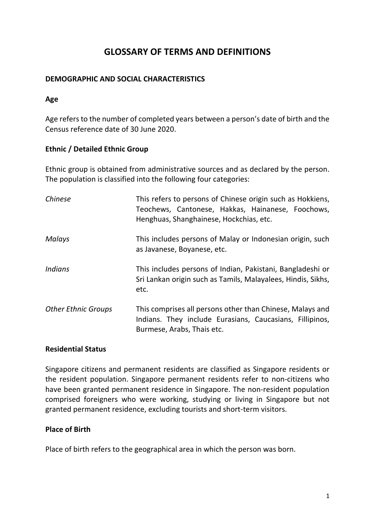# **GLOSSARY OF TERMS AND DEFINITIONS**

## **DEMOGRAPHIC AND SOCIAL CHARACTERISTICS**

### **Age**

Age refers to the number of completed years between a person's date of birth and the Census reference date of 30 June 2020.

### **Ethnic / Detailed Ethnic Group**

Ethnic group is obtained from administrative sources and as declared by the person. The population is classified into the following four categories:

| Chinese                    | This refers to persons of Chinese origin such as Hokkiens,<br>Teochews, Cantonese, Hakkas, Hainanese, Foochows,<br>Henghuas, Shanghainese, Hockchias, etc. |
|----------------------------|------------------------------------------------------------------------------------------------------------------------------------------------------------|
| <b>Malays</b>              | This includes persons of Malay or Indonesian origin, such<br>as Javanese, Boyanese, etc.                                                                   |
| <i>Indians</i>             | This includes persons of Indian, Pakistani, Bangladeshi or<br>Sri Lankan origin such as Tamils, Malayalees, Hindis, Sikhs,<br>etc.                         |
| <b>Other Ethnic Groups</b> | This comprises all persons other than Chinese, Malays and<br>Indians. They include Eurasians, Caucasians, Fillipinos,<br>Burmese, Arabs, Thais etc.        |

#### **Residential Status**

Singapore citizens and permanent residents are classified as Singapore residents or the resident population. Singapore permanent residents refer to non-citizens who have been granted permanent residence in Singapore. The non-resident population comprised foreigners who were working, studying or living in Singapore but not granted permanent residence, excluding tourists and short-term visitors.

#### **Place of Birth**

Place of birth refers to the geographical area in which the person was born.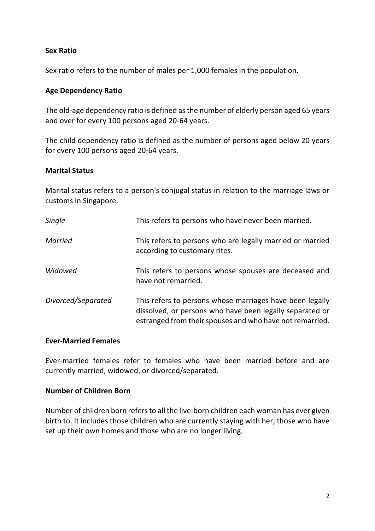## **Sex Ratio**

Sex ratio refers to the number of males per 1,000 females in the population.

### **Age Dependency Ratio**

The old-age dependency ratio is defined as the number of elderly person aged 65 years and over for every 100 persons aged 20-64 years.

The child dependency ratio is defined as the number of persons aged below 20 years for every 100 persons aged 20-64 years.

#### **Marital Status**

Marital status refers to a person's conjugal status in relation to the marriage laws or customs in Singapore.

| Single             | This refers to persons who have never been married.                                                                                                                              |
|--------------------|----------------------------------------------------------------------------------------------------------------------------------------------------------------------------------|
| <b>Married</b>     | This refers to persons who are legally married or married<br>according to customary rites.                                                                                       |
| Widowed            | This refers to persons whose spouses are deceased and<br>have not remarried.                                                                                                     |
| Divorced/Separated | This refers to persons whose marriages have been legally<br>dissolved, or persons who have been legally separated or<br>estranged from their spouses and who have not remarried. |

#### **Ever-Married Females**

Ever-married females refer to females who have been married before and are currently married, widowed, or divorced/separated.

#### **Number of Children Born**

Number of children born refers to all the live-born children each woman has ever given birth to. It includes those children who are currently staying with her, those who have set up their own homes and those who are no longer living.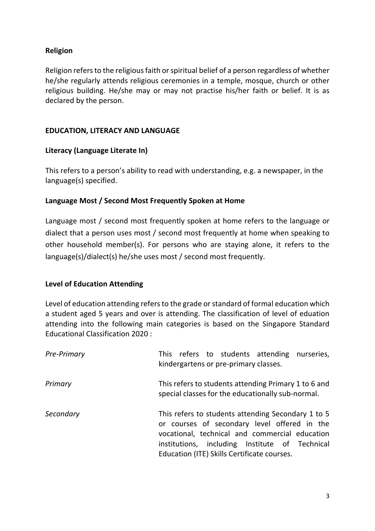## **Religion**

Religion refers to the religious faith or spiritual belief of a person regardless of whether he/she regularly attends religious ceremonies in a temple, mosque, church or other religious building. He/she may or may not practise his/her faith or belief. It is as declared by the person.

## **EDUCATION, LITERACY AND LANGUAGE**

## **Literacy (Language Literate In)**

This refers to a person's ability to read with understanding, e.g. a newspaper, in the language(s) specified.

## **Language Most / Second Most Frequently Spoken at Home**

Language most / second most frequently spoken at home refers to the language or dialect that a person uses most / second most frequently at home when speaking to other household member(s). For persons who are staying alone, it refers to the language(s)/dialect(s) he/she uses most / second most frequently.

## **Level of Education Attending**

Level of education attending refers to the grade or standard of formal education which a student aged 5 years and over is attending. The classification of level of eduation attending into the following main categories is based on the Singapore Standard Educational Classification 2020 :

| Pre-Primary | This refers to students attending nurseries,<br>kindergartens or pre-primary classes.                                                                                                                                                                 |
|-------------|-------------------------------------------------------------------------------------------------------------------------------------------------------------------------------------------------------------------------------------------------------|
| Primary     | This refers to students attending Primary 1 to 6 and<br>special classes for the educationally sub-normal.                                                                                                                                             |
| Secondary   | This refers to students attending Secondary 1 to 5<br>or courses of secondary level offered in the<br>vocational, technical and commercial education<br>institutions, including Institute of Technical<br>Education (ITE) Skills Certificate courses. |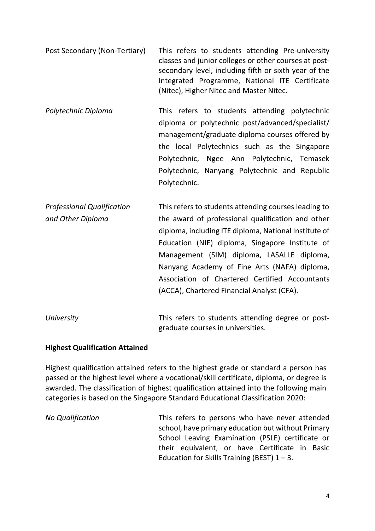- Post Secondary (Non-Tertiary) This refers to students attending Pre-university classes and junior colleges or other courses at postsecondary level, including fifth or sixth year of the Integrated Programme, National ITE Certificate (Nitec), Higher Nitec and Master Nitec.
- *Polytechnic Diploma* This refers to students attending polytechnic diploma or polytechnic post/advanced/specialist/ management/graduate diploma courses offered by the local Polytechnics such as the Singapore Polytechnic, Ngee Ann Polytechnic, Temasek Polytechnic, Nanyang Polytechnic and Republic Polytechnic.
- *Professional Qualification* This refers to students attending courses leading to *and Other Diploma* the award of professional qualification and other diploma, including ITE diploma, National Institute of Education (NIE) diploma, Singapore Institute of Management (SIM) diploma, LASALLE diploma, Nanyang Academy of Fine Arts (NAFA) diploma, Association of Chartered Certified Accountants (ACCA), Chartered Financial Analyst (CFA).
- *University* This refers to students attending degree or postgraduate courses in universities.

## **Highest Qualification Attained**

Highest qualification attained refers to the highest grade or standard a person has passed or the highest level where a vocational/skill certificate, diploma, or degree is awarded. The classification of highest qualification attained into the following main categories is based on the Singapore Standard Educational Classification 2020:

*No Qualification* This refers to persons who have never attended school, have primary education but without Primary School Leaving Examination (PSLE) certificate or their equivalent, or have Certificate in Basic Education for Skills Training (BEST)  $1 - 3$ .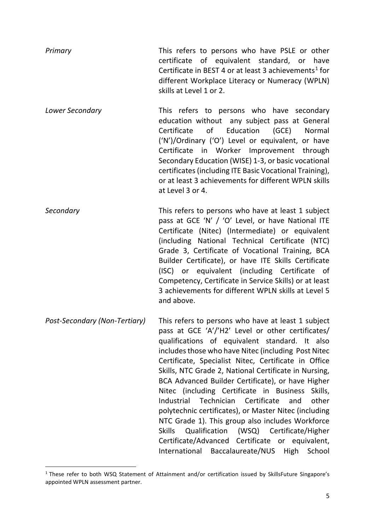| Primary                       | This refers to persons who have PSLE or other<br>certificate of equivalent standard, or have<br>Certificate in BEST 4 or at least 3 achievements <sup>1</sup> for<br>different Workplace Literacy or Numeracy (WPLN)<br>skills at Level 1 or 2.                                                                                                                                                                                                                                                                                                                                                                                                                                        |
|-------------------------------|----------------------------------------------------------------------------------------------------------------------------------------------------------------------------------------------------------------------------------------------------------------------------------------------------------------------------------------------------------------------------------------------------------------------------------------------------------------------------------------------------------------------------------------------------------------------------------------------------------------------------------------------------------------------------------------|
| Lower Secondary               | This refers to persons who have secondary<br>education without any subject pass at General<br>of<br>Education (GCE)<br>Certificate<br>Normal<br>('N')/Ordinary ('O') Level or equivalent, or have<br>Certificate in Worker Improvement through<br>Secondary Education (WISE) 1-3, or basic vocational<br>certificates (including ITE Basic Vocational Training),<br>or at least 3 achievements for different WPLN skills<br>at Level 3 or 4.                                                                                                                                                                                                                                           |
| Secondary                     | This refers to persons who have at least 1 subject<br>pass at GCE 'N' / 'O' Level, or have National ITE<br>Certificate (Nitec) (Intermediate) or equivalent<br>(including National Technical Certificate (NTC)<br>Grade 3, Certificate of Vocational Training, BCA<br>Builder Certificate), or have ITE Skills Certificate<br>(ISC) or equivalent (including Certificate of<br>Competency, Certificate in Service Skills) or at least<br>3 achievements for different WPLN skills at Level 5<br>and above.                                                                                                                                                                             |
| Post-Secondary (Non-Tertiary) | This refers to persons who have at least 1 subject<br>pass at GCE 'A'/'H2' Level or other certificates/<br>qualifications of equivalent standard. It also<br>includes those who have Nitec (including Post Nitec<br>Certificate, Specialist Nitec, Certificate in Office<br>Skills, NTC Grade 2, National Certificate in Nursing,<br>BCA Advanced Builder Certificate), or have Higher<br>Nitec (including Certificate in Business<br>Skills,<br>Certificate<br>Industrial<br>Technician<br>other<br>and<br>polytechnic certificates), or Master Nitec (including<br>NTC Grade 1). This group also includes Workforce<br><b>Skills</b><br>(WSQ)<br>Certificate/Higher<br>Qualification |

Certificate/Advanced Certificate or equivalent, International Baccalaureate/NUS High School

<span id="page-4-0"></span><sup>&</sup>lt;sup>1</sup> These refer to both WSQ Statement of Attainment and/or certification issued by SkillsFuture Singapore's appointed WPLN assessment partner.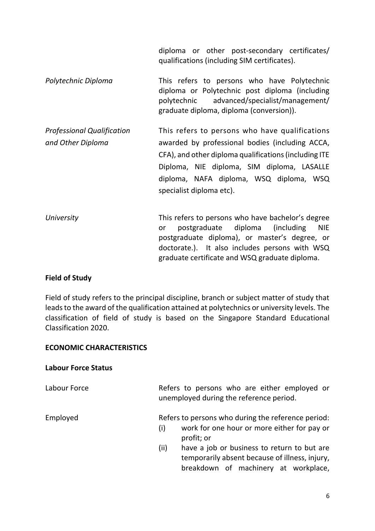diploma or other post-secondary certificates/ qualifications (including SIM certificates).

*Polytechnic Diploma* This refers to persons who have Polytechnic diploma or Polytechnic post diploma (including polytechnic advanced/specialist/management/ graduate diploma, diploma (conversion)).

*Professional Qualification* This refers to persons who have qualifications *and Other Diploma* awarded by professional bodies (including ACCA, CFA), and other diploma qualifications (including ITE Diploma, NIE diploma, SIM diploma, LASALLE diploma, NAFA diploma, WSQ diploma, WSQ specialist diploma etc).

*University* This refers to persons who have bachelor's degree or postgraduate diploma (including NIE postgraduate diploma), or master's degree, or doctorate.). It also includes persons with WSQ graduate certificate and WSQ graduate diploma.

## **Field of Study**

Field of study refers to the principal discipline, branch or subject matter of study that leads to the award of the qualification attained at polytechnics or university levels. The classification of field of study is based on the Singapore Standard Educational Classification 2020.

#### **ECONOMIC CHARACTERISTICS**

#### **Labour Force Status**

Labour Force The Refers to persons who are either employed or unemployed during the reference period. Employed Refers to persons who during the reference period:

- (i) work for one hour or more either for pay or profit; or
- (ii) have a job or business to return to but are temporarily absent because of illness, injury, breakdown of machinery at workplace,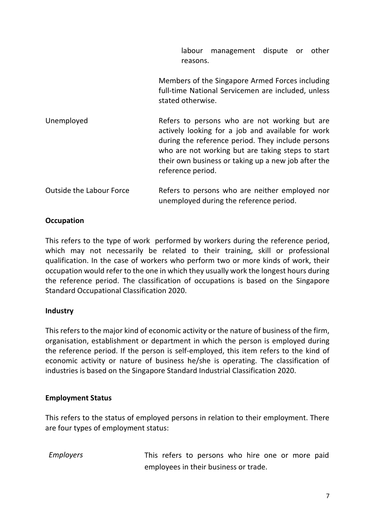labour management dispute or other reasons.

Members of the Singapore Armed Forces including full-time National Servicemen are included, unless stated otherwise.

Unemployed Refers to persons who are not working but are actively looking for a job and available for work during the reference period. They include persons who are not working but are taking steps to start their own business or taking up a new job after the reference period.

| Outside the Labour Force | Refers to persons who are neither employed nor |
|--------------------------|------------------------------------------------|
|                          | unemployed during the reference period.        |

## **Occupation**

This refers to the type of work performed by workers during the reference period, which may not necessarily be related to their training, skill or professional qualification. In the case of workers who perform two or more kinds of work, their occupation would refer to the one in which they usually work the longest hours during the reference period. The classification of occupations is based on the Singapore Standard Occupational Classification 2020.

## **Industry**

This refers to the major kind of economic activity or the nature of business of the firm, organisation, establishment or department in which the person is employed during the reference period. If the person is self-employed, this item refers to the kind of economic activity or nature of business he/she is operating. The classification of industries is based on the Singapore Standard Industrial Classification 2020.

## **Employment Status**

This refers to the status of employed persons in relation to their employment. There are four types of employment status:

*Employers* This refers to persons who hire one or more paid employees in their business or trade.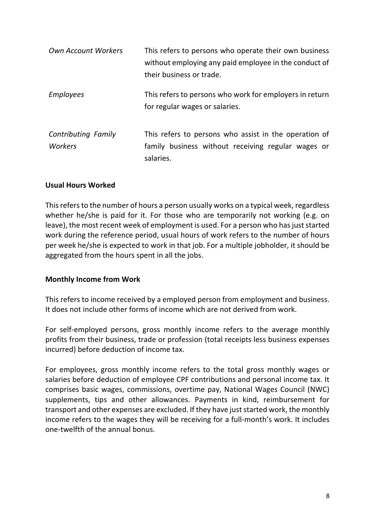| <b>Own Account Workers</b>            | This refers to persons who operate their own business<br>without employing any paid employee in the conduct of<br>their business or trade. |
|---------------------------------------|--------------------------------------------------------------------------------------------------------------------------------------------|
| <b>Employees</b>                      | This refers to persons who work for employers in return<br>for regular wages or salaries.                                                  |
| <b>Contributing Family</b><br>Workers | This refers to persons who assist in the operation of<br>family business without receiving regular wages or<br>salaries.                   |

### **Usual Hours Worked**

This refers to the number of hours a person usually works on a typical week, regardless whether he/she is paid for it. For those who are temporarily not working (e.g. on leave), the most recent week of employment is used. For a person who has just started work during the reference period, usual hours of work refers to the number of hours per week he/she is expected to work in that job. For a multiple jobholder, it should be aggregated from the hours spent in all the jobs.

#### **Monthly Income from Work**

This refers to income received by a employed person from employment and business. It does not include other forms of income which are not derived from work.

For self-employed persons, gross monthly income refers to the average monthly profits from their business, trade or profession (total receipts less business expenses incurred) before deduction of income tax.

For employees, gross monthly income refers to the total gross monthly wages or salaries before deduction of employee CPF contributions and personal income tax. It comprises basic wages, commissions, overtime pay, National Wages Council (NWC) supplements, tips and other allowances. Payments in kind, reimbursement for transport and other expenses are excluded. If they have just started work, the monthly income refers to the wages they will be receiving for a full-month's work. It includes one-twelfth of the annual bonus.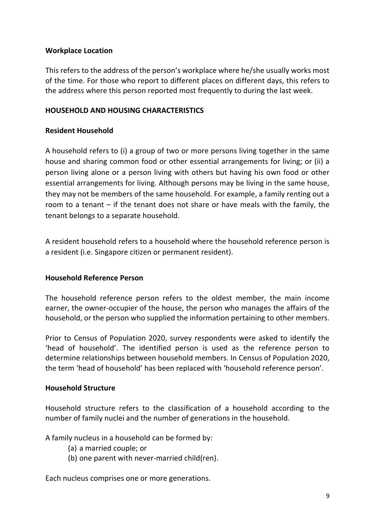### **Workplace Location**

This refers to the address of the person's workplace where he/she usually works most of the time. For those who report to different places on different days, this refers to the address where this person reported most frequently to during the last week.

## **HOUSEHOLD AND HOUSING CHARACTERISTICS**

## **Resident Household**

A household refers to (i) a group of two or more persons living together in the same house and sharing common food or other essential arrangements for living; or (ii) a person living alone or a person living with others but having his own food or other essential arrangements for living. Although persons may be living in the same house, they may not be members of the same household. For example, a family renting out a room to a tenant – if the tenant does not share or have meals with the family, the tenant belongs to a separate household.

A resident household refers to a household where the household reference person is a resident (i.e. Singapore citizen or permanent resident).

## **Household Reference Person**

The household reference person refers to the oldest member, the main income earner, the owner-occupier of the house, the person who manages the affairs of the household, or the person who supplied the information pertaining to other members.

Prior to Census of Population 2020, survey respondents were asked to identify the 'head of household'. The identified person is used as the reference person to determine relationships between household members. In Census of Population 2020, the term 'head of household' has been replaced with 'household reference person'.

#### **Household Structure**

Household structure refers to the classification of a household according to the number of family nuclei and the number of generations in the household.

A family nucleus in a household can be formed by:

- (a) a married couple; or
- (b) one parent with never-married child(ren).

Each nucleus comprises one or more generations.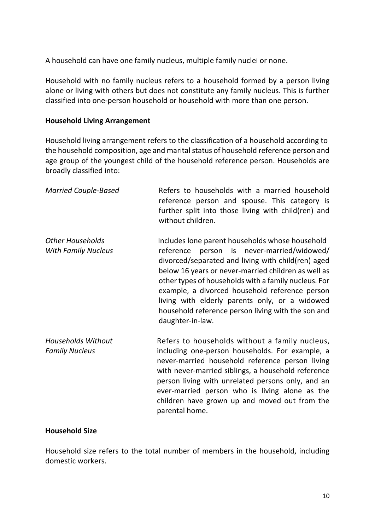A household can have one family nucleus, multiple family nuclei or none.

Household with no family nucleus refers to a household formed by a person living alone or living with others but does not constitute any family nucleus. This is further classified into one-person household or household with more than one person.

#### **Household Living Arrangement**

Household living arrangement refers to the classification of a household according to the household composition, age and marital status of household reference person and age group of the youngest child of the household reference person. Households are broadly classified into:

| <b>Married Couple-Based</b>                           | Refers to households with a married household<br>reference person and spouse. This category is<br>further split into those living with child(ren) and<br>without children.                                                                                                                                                                                                                                                                       |
|-------------------------------------------------------|--------------------------------------------------------------------------------------------------------------------------------------------------------------------------------------------------------------------------------------------------------------------------------------------------------------------------------------------------------------------------------------------------------------------------------------------------|
| <b>Other Households</b><br><b>With Family Nucleus</b> | Includes lone parent households whose household<br>reference person is never-married/widowed/<br>divorced/separated and living with child(ren) aged<br>below 16 years or never-married children as well as<br>other types of households with a family nucleus. For<br>example, a divorced household reference person<br>living with elderly parents only, or a widowed<br>household reference person living with the son and<br>daughter-in-law. |
| <b>Households Without</b><br><b>Family Nucleus</b>    | Refers to households without a family nucleus,<br>including one-person households. For example, a<br>never-married household reference person living<br>with never-married siblings, a household reference<br>person living with unrelated persons only, and an<br>ever-married person who is living alone as the<br>children have grown up and moved out from the<br>parental home.                                                             |

#### **Household Size**

Household size refers to the total number of members in the household, including domestic workers.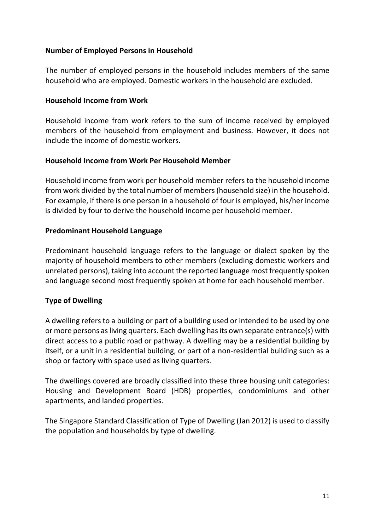## **Number of Employed Persons in Household**

The number of employed persons in the household includes members of the same household who are employed. Domestic workers in the household are excluded.

#### **Household Income from Work**

Household income from work refers to the sum of income received by employed members of the household from employment and business. However, it does not include the income of domestic workers.

### **Household Income from Work Per Household Member**

Household income from work per household member refers to the household income from work divided by the total number of members (household size) in the household. For example, if there is one person in a household of four is employed, his/her income is divided by four to derive the household income per household member.

### **Predominant Household Language**

Predominant household language refers to the language or dialect spoken by the majority of household members to other members (excluding domestic workers and unrelated persons), taking into account the reported language most frequently spoken and language second most frequently spoken at home for each household member.

## **Type of Dwelling**

A dwelling refers to a building or part of a building used or intended to be used by one or more persons as living quarters. Each dwelling has its own separate entrance(s) with direct access to a public road or pathway. A dwelling may be a residential building by itself, or a unit in a residential building, or part of a non-residential building such as a shop or factory with space used as living quarters.

The dwellings covered are broadly classified into these three housing unit categories: Housing and Development Board (HDB) properties, condominiums and other apartments, and landed properties.

The Singapore Standard Classification of Type of Dwelling (Jan 2012) is used to classify the population and households by type of dwelling.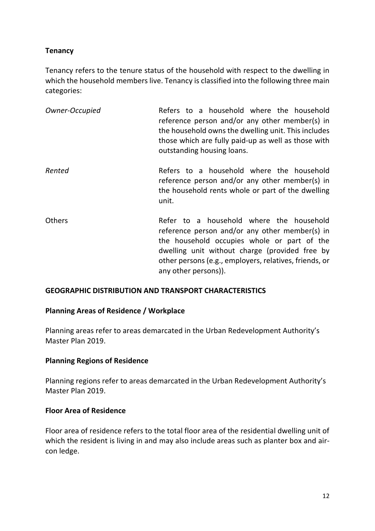## **Tenancy**

Tenancy refers to the tenure status of the household with respect to the dwelling in which the household members live. Tenancy is classified into the following three main categories:

| Owner-Occupied | Refers to a household where the household           |  |  |
|----------------|-----------------------------------------------------|--|--|
|                | reference person and/or any other member(s) in      |  |  |
|                | the household owns the dwelling unit. This includes |  |  |
|                | those which are fully paid-up as well as those with |  |  |
|                | outstanding housing loans.                          |  |  |

- *Rented* Refers to a household where the household reference person and/or any other member(s) in the household rents whole or part of the dwelling unit.
- Others **Refer to a household where the household** reference person and/or any other member(s) in the household occupies whole or part of the dwelling unit without charge (provided free by other persons (e.g., employers, relatives, friends, or any other persons)).

## **GEOGRAPHIC DISTRIBUTION AND TRANSPORT CHARACTERISTICS**

## **Planning Areas of Residence / Workplace**

Planning areas refer to areas demarcated in the Urban Redevelopment Authority's Master Plan 2019.

## **Planning Regions of Residence**

Planning regions refer to areas demarcated in the Urban Redevelopment Authority's Master Plan 2019.

#### **Floor Area of Residence**

Floor area of residence refers to the total floor area of the residential dwelling unit of which the resident is living in and may also include areas such as planter box and aircon ledge.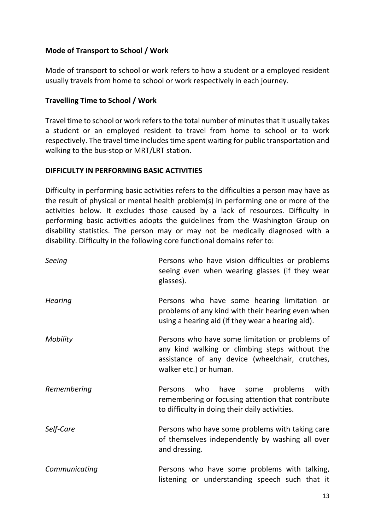## **Mode of Transport to School / Work**

Mode of transport to school or work refers to how a student or a employed resident usually travels from home to school or work respectively in each journey.

## **Travelling Time to School / Work**

Travel time to school or work refers to the total number of minutes that it usually takes a student or an employed resident to travel from home to school or to work respectively. The travel time includes time spent waiting for public transportation and walking to the bus-stop or MRT/LRT station.

### **DIFFICULTY IN PERFORMING BASIC ACTIVITIES**

Difficulty in performing basic activities refers to the difficulties a person may have as the result of physical or mental health problem(s) in performing one or more of the activities below. It excludes those caused by a lack of resources. Difficulty in performing basic activities adopts the guidelines from the Washington Group on disability statistics. The person may or may not be medically diagnosed with a disability. Difficulty in the following core functional domains refer to:

| Seeing         | Persons who have vision difficulties or problems<br>seeing even when wearing glasses (if they wear<br>glasses).                                                                |
|----------------|--------------------------------------------------------------------------------------------------------------------------------------------------------------------------------|
| <b>Hearing</b> | Persons who have some hearing limitation or<br>problems of any kind with their hearing even when<br>using a hearing aid (if they wear a hearing aid).                          |
| Mobility       | Persons who have some limitation or problems of<br>any kind walking or climbing steps without the<br>assistance of any device (wheelchair, crutches,<br>walker etc.) or human. |
| Remembering    | who have some<br>problems<br>with<br>Persons<br>remembering or focusing attention that contribute<br>to difficulty in doing their daily activities.                            |
| Self-Care      | Persons who have some problems with taking care<br>of themselves independently by washing all over<br>and dressing.                                                            |
| Communicating  | Persons who have some problems with talking,<br>listening or understanding speech such that it                                                                                 |